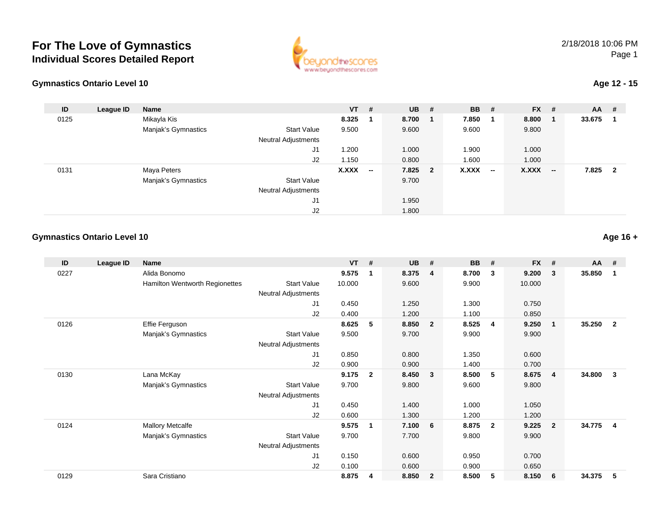## **For The Love of GymnasticsIndividual Scores Detailed Report**





## **Age 12 - 15**

| ID   | League ID | Name                |                            | $VT$ #       |                          | $UB$ #  | <b>BB</b>    | #      | $FX$ # |                          | AA     | #                       |
|------|-----------|---------------------|----------------------------|--------------|--------------------------|---------|--------------|--------|--------|--------------------------|--------|-------------------------|
| 0125 |           | Mikayla Kis         |                            | 8.325        |                          | 8.700   | 7.850        | - 1    | 8.800  |                          | 33.675 |                         |
|      |           | Manjak's Gymnastics | <b>Start Value</b>         | 9.500        |                          | 9.600   | 9.600        |        | 9.800  |                          |        |                         |
|      |           |                     | <b>Neutral Adjustments</b> |              |                          |         |              |        |        |                          |        |                         |
|      |           |                     | J1                         | .200         |                          | 1.000   | 1.900        |        | 1.000  |                          |        |                         |
|      |           |                     | J2                         | 1.150        |                          | 0.800   | 1.600        |        | 1.000  |                          |        |                         |
| 0131 |           | Maya Peters         |                            | <b>X.XXX</b> | $\overline{\phantom{a}}$ | 7.825 2 | <b>X.XXX</b> | $\sim$ | X.XXX  | $\overline{\phantom{a}}$ | 7.825  | $\overline{\mathbf{2}}$ |
|      |           | Manjak's Gymnastics | <b>Start Value</b>         |              |                          | 9.700   |              |        |        |                          |        |                         |
|      |           |                     | <b>Neutral Adjustments</b> |              |                          |         |              |        |        |                          |        |                         |
|      |           |                     | J1                         |              |                          | 1.950   |              |        |        |                          |        |                         |
|      |           |                     | J <sub>2</sub>             |              |                          | 1.800   |              |        |        |                          |        |                         |

## **Gymnastics Ontario Level 10Age 16 +**

| ID   | League ID | Name                           |                            | <b>VT</b> | #            | <b>UB</b> | #                       | <b>BB</b> | #              | <b>FX</b> | #                       | <b>AA</b> | #              |
|------|-----------|--------------------------------|----------------------------|-----------|--------------|-----------|-------------------------|-----------|----------------|-----------|-------------------------|-----------|----------------|
| 0227 |           | Alida Bonomo                   |                            | 9.575     | 1            | 8.375     | $\overline{4}$          | 8.700     | $\mathbf{3}$   | 9.200     | 3                       | 35.850    | 1              |
|      |           | Hamilton Wentworth Regionettes | <b>Start Value</b>         | 10.000    |              | 9.600     |                         | 9.900     |                | 10.000    |                         |           |                |
|      |           |                                | <b>Neutral Adjustments</b> |           |              |           |                         |           |                |           |                         |           |                |
|      |           |                                | J1                         | 0.450     |              | 1.250     |                         | 1.300     |                | 0.750     |                         |           |                |
|      |           |                                | J2                         | 0.400     |              | 1.200     |                         | 1.100     |                | 0.850     |                         |           |                |
| 0126 |           | Effie Ferguson                 |                            | 8.625     | 5            | 8.850     | $\overline{2}$          | 8.525     | -4             | 9.250     | $\mathbf{1}$            | 35.250    | $\overline{2}$ |
|      |           | Manjak's Gymnastics            | <b>Start Value</b>         | 9.500     |              | 9.700     |                         | 9.900     |                | 9.900     |                         |           |                |
|      |           |                                | <b>Neutral Adjustments</b> |           |              |           |                         |           |                |           |                         |           |                |
|      |           |                                | J <sub>1</sub>             | 0.850     |              | 0.800     |                         | 1.350     |                | 0.600     |                         |           |                |
|      |           |                                | J <sub>2</sub>             | 0.900     |              | 0.900     |                         | 1.400     |                | 0.700     |                         |           |                |
| 0130 |           | Lana McKay                     |                            | 9.175     | $\mathbf{2}$ | 8.450     | $\overline{\mathbf{3}}$ | 8.500     | 5              | 8.675     | $\overline{\mathbf{4}}$ | 34.800    | $\mathbf{3}$   |
|      |           | Manjak's Gymnastics            | <b>Start Value</b>         | 9.700     |              | 9.800     |                         | 9.600     |                | 9.800     |                         |           |                |
|      |           |                                | Neutral Adjustments        |           |              |           |                         |           |                |           |                         |           |                |
|      |           |                                | J1                         | 0.450     |              | 1.400     |                         | 1.000     |                | 1.050     |                         |           |                |
|      |           |                                | J <sub>2</sub>             | 0.600     |              | 1.300     |                         | 1.200     |                | 1.200     |                         |           |                |
| 0124 |           | <b>Mallory Metcalfe</b>        |                            | 9.575     | 1            | 7.100     | 6                       | 8.875     | $\overline{2}$ | 9.225     | $\overline{2}$          | 34.775    | $\overline{4}$ |
|      |           | Manjak's Gymnastics            | <b>Start Value</b>         | 9.700     |              | 7.700     |                         | 9.800     |                | 9.900     |                         |           |                |
|      |           |                                | Neutral Adjustments        |           |              |           |                         |           |                |           |                         |           |                |
|      |           |                                | J <sub>1</sub>             | 0.150     |              | 0.600     |                         | 0.950     |                | 0.700     |                         |           |                |
|      |           |                                | J <sub>2</sub>             | 0.100     |              | 0.600     |                         | 0.900     |                | 0.650     |                         |           |                |
| 0129 |           | Sara Cristiano                 |                            | 8.875     | 4            | 8.850     | $\overline{2}$          | 8.500     | 5              | 8.150     | 6                       | 34.375    | 5              |